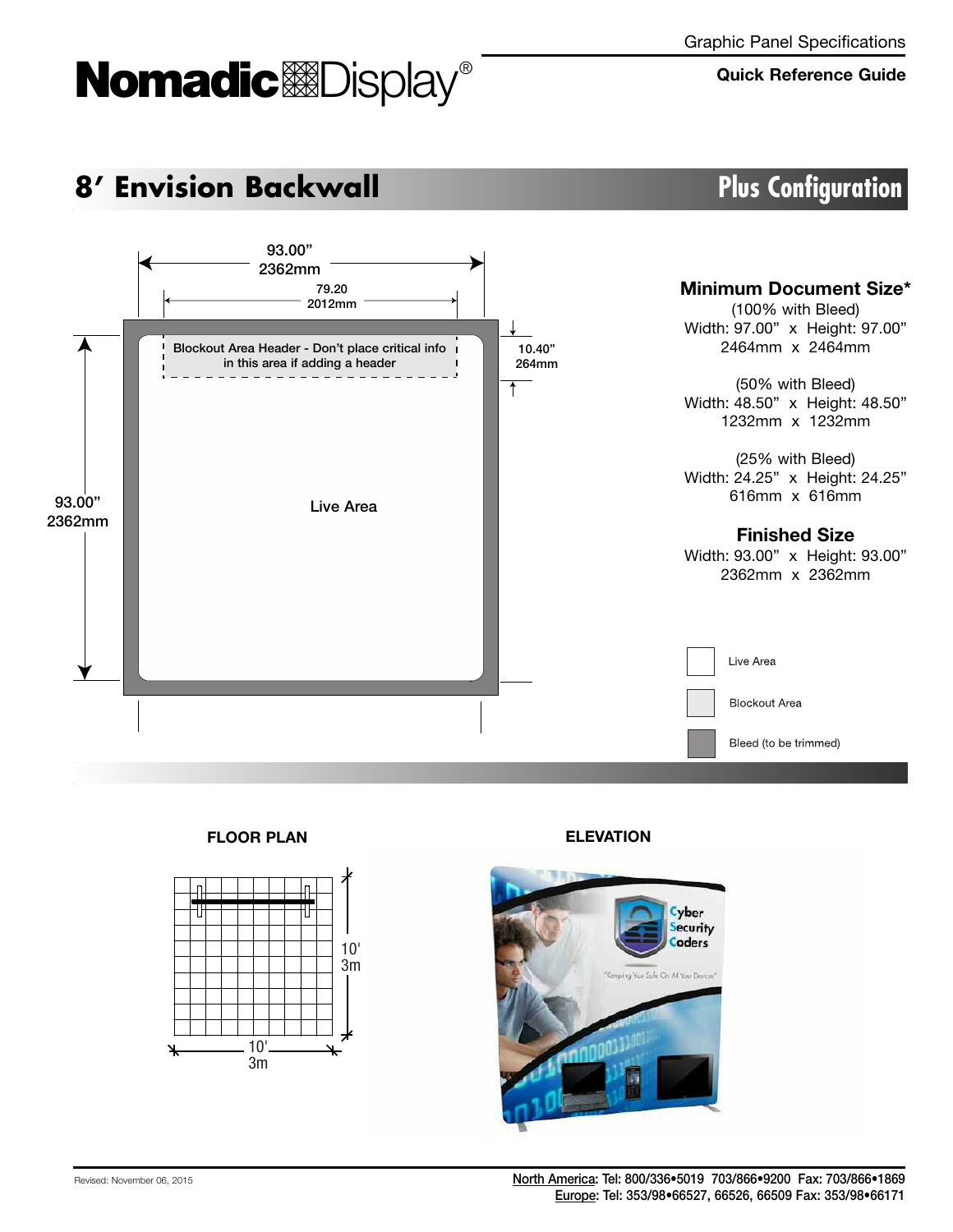# Momadic<sup>o</sup>lDisplay®

### **Quick Reference Guide**

## **8' Envision Backwall Plus Configuration**



**FLOOR PLAN ELEVATION**